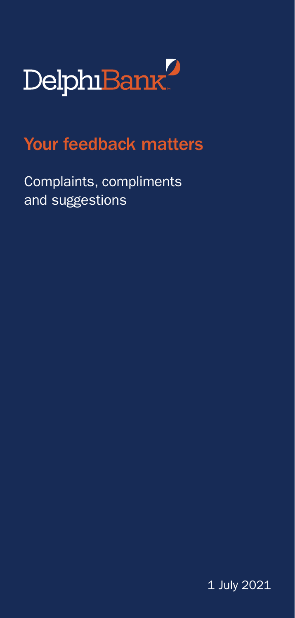

# Your feedback matters

Complaints, compliments and suggestions

1 July 2021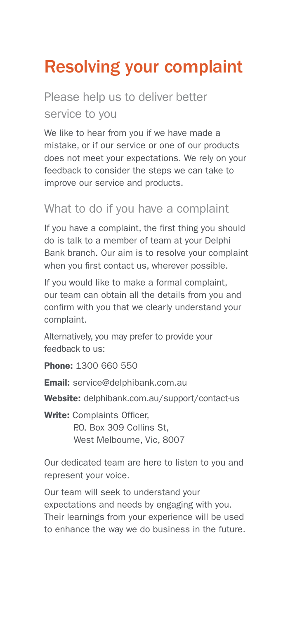# Resolving your complaint

## Please help us to deliver better service to you

We like to hear from you if we have made a mistake, or if our service or one of our products does not meet your expectations. We rely on your feedback to consider the steps we can take to improve our service and products.

#### What to do if you have a complaint

If you have a complaint, the first thing you should do is talk to a member of team at your Delphi Bank branch. Our aim is to resolve your complaint when you first contact us, wherever possible.

If you would like to make a formal complaint, our team can obtain all the details from you and confirm with you that we clearly understand your complaint.

Alternatively, you may prefer to provide your feedback to us:

Phone: 1300 660 550

Email: [service@delphibank.com.au](mailto:service%40delphibank.com.au?subject=)

Website: [delphibank.com.au/support/contact-us](http://delphibank.com.au/support/contact-us)

Write: Complaints Officer. P.O. Box 309 Collins St. West Melbourne, Vic, 8007

Our dedicated team are here to listen to you and represent your voice.

Our team will seek to understand your expectations and needs by engaging with you. Their learnings from your experience will be used to enhance the way we do business in the future.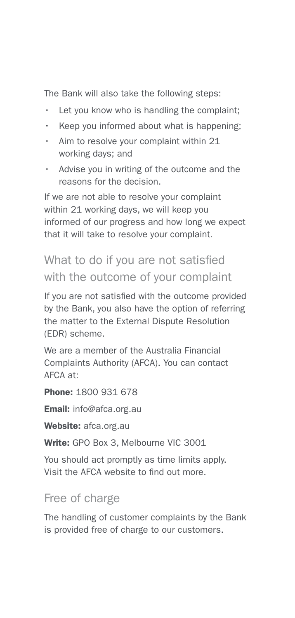The Bank will also take the following steps:

- Let you know who is handling the complaint;
- Keep you informed about what is happening;
- Aim to resolve your complaint within 21 working days; and
- Advise you in writing of the outcome and the reasons for the decision.

If we are not able to resolve your complaint within 21 working days, we will keep you informed of our progress and how long we expect that it will take to resolve your complaint.

### What to do if you are not satisfied with the outcome of your complaint

If you are not satisfied with the outcome provided by the Bank, you also have the option of referring the matter to the External Dispute Resolution (EDR) scheme.

We are a member of the Australia Financial Complaints Authority (AFCA). You can contact  $AFCA$  at:

Phone: 1800 931 678

Email: [info@afca.org.au](mailto:info%40afca.org.au?subject=)

Website: afca.org.au

Write: GPO Box 3, Melbourne VIC 3001

You should act promptly as time limits apply. Visit the AFCA website to find out more.

#### Free of charge

The handling of customer complaints by the Bank is provided free of charge to our customers.